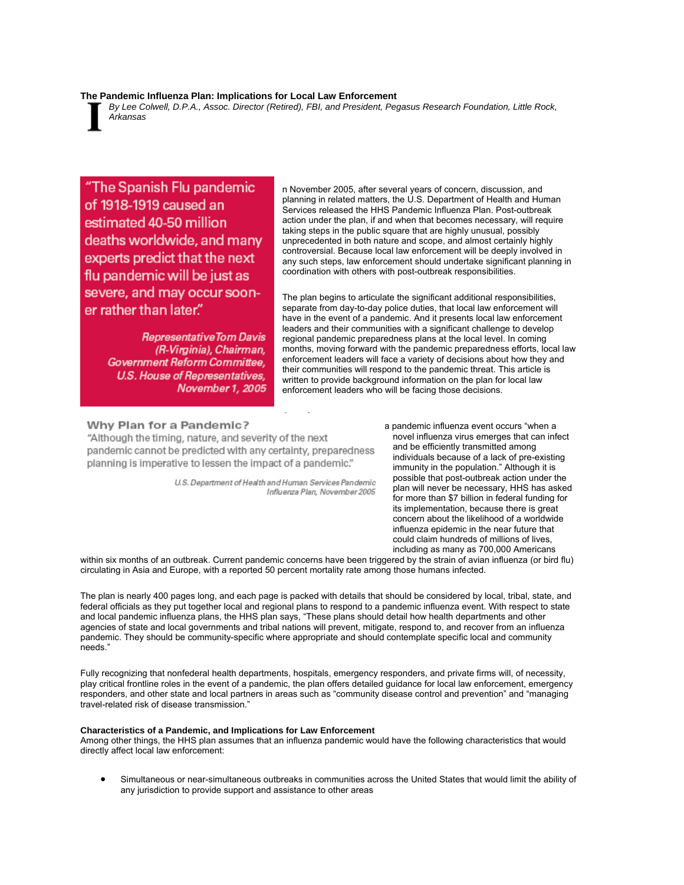## **The Pandemic Influenza Plan: Implications for Local Law Enforcement**

*By Lee Colwell, D.P.A., Assoc. Director (Retired), FBI, and President, Pegasus Research Foundation, Little Rock, Arkansas*

"The Spanish Flu pandemic of 1918-1919 caused an estimated 40-50 million deaths worldwide, and many experts predict that the next flu pandemic will be just as severe, and may occur sooner rather than later."

> **Representative Tom Davis** (R-Virginia), Chairman, Government Reform Committee, U.S. House of Representatives, November 1, 2005

n November 2005, after several years of concern, discussion, and planning in related matters, the U.S. Department of Health and Human Services released the HHS Pandemic Influenza Plan. Post-outbreak action under the plan, if and when that becomes necessary, will require taking steps in the public square that are highly unusual, possibly unprecedented in both nature and scope, and almost certainly highly controversial. Because local law enforcement will be deeply involved in any such steps, law enforcement should undertake significant planning in coordination with others with post-outbreak responsibilities.

The plan begins to articulate the significant additional responsibilities, separate from day-to-day police duties, that local law enforcement will have in the event of a pandemic. And it presents local law enforcement leaders and their communities with a significant challenge to develop regional pandemic preparedness plans at the local level. In coming months, moving forward with the pandemic preparedness efforts, local law enforcement leaders will face a variety of decisions about how they and their communities will respond to the pandemic threat. This article is written to provide background information on the plan for local law enforcement leaders who will be facing those decisions.

# Why Plan for a Pandemic?

"Although the timing, nature, and severity of the next pandemic cannot be predicted with any certainty, preparedness planning is imperative to lessen the impact of a pandemic."

> U.S. Department of Health and Human Services Pandemic Influenza Plan, November 2005

**Overview** 

a pandemic influenza event occurs "when a novel influenza virus emerges that can infect and be efficiently transmitted among individuals because of a lack of pre-existing immunity in the population." Although it is possible that post-outbreak action under the plan will never be necessary, HHS has asked for more than \$7 billion in federal funding for its implementation, because there is great concern about the likelihood of a worldwide influenza epidemic in the near future that could claim hundreds of millions of lives, including as many as 700,000 Americans

within six months of an outbreak. Current pandemic concerns have been triggered by the strain of avian influenza (or bird flu) circulating in Asia and Europe, with a reported 50 percent mortality rate among those humans infected.

The plan is nearly 400 pages long, and each page is packed with details that should be considered by local, tribal, state, and federal officials as they put together local and regional plans to respond to a pandemic influenza event. With respect to state and local pandemic influenza plans, the HHS plan says, "These plans should detail how health departments and other agencies of state and local governments and tribal nations will prevent, mitigate, respond to, and recover from an influenza pandemic. They should be community-specific where appropriate and should contemplate specific local and community needs."

Fully recognizing that nonfederal health departments, hospitals, emergency responders, and private firms will, of necessity, play critical frontline roles in the event of a pandemic, the plan offers detailed guidance for local law enforcement, emergency responders, and other state and local partners in areas such as "community disease control and prevention" and "managing travel-related risk of disease transmission."

## **Characteristics of a Pandemic, and Implications for Law Enforcement**

Among other things, the HHS plan assumes that an influenza pandemic would have the following characteristics that would directly affect local law enforcement:

• Simultaneous or near-simultaneous outbreaks in communities across the United States that would limit the ability of any jurisdiction to provide support and assistance to other areas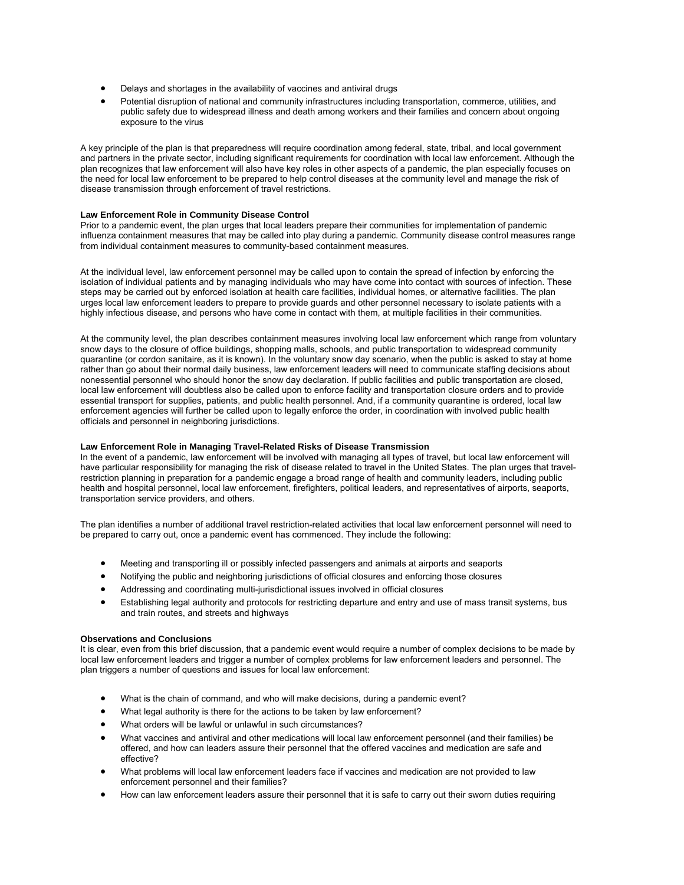- Delays and shortages in the availability of vaccines and antiviral drugs
- Potential disruption of national and community infrastructures including transportation, commerce, utilities, and public safety due to widespread illness and death among workers and their families and concern about ongoing exposure to the virus

A key principle of the plan is that preparedness will require coordination among federal, state, tribal, and local government and partners in the private sector, including significant requirements for coordination with local law enforcement. Although the plan recognizes that law enforcement will also have key roles in other aspects of a pandemic, the plan especially focuses on the need for local law enforcement to be prepared to help control diseases at the community level and manage the risk of disease transmission through enforcement of travel restrictions.

#### **Law Enforcement Role in Community Disease Control**

Prior to a pandemic event, the plan urges that local leaders prepare their communities for implementation of pandemic influenza containment measures that may be called into play during a pandemic. Community disease control measures range from individual containment measures to community-based containment measures.

At the individual level, law enforcement personnel may be called upon to contain the spread of infection by enforcing the isolation of individual patients and by managing individuals who may have come into contact with sources of infection. These steps may be carried out by enforced isolation at health care facilities, individual homes, or alternative facilities. The plan urges local law enforcement leaders to prepare to provide guards and other personnel necessary to isolate patients with a highly infectious disease, and persons who have come in contact with them, at multiple facilities in their communities.

At the community level, the plan describes containment measures involving local law enforcement which range from voluntary snow days to the closure of office buildings, shopping malls, schools, and public transportation to widespread community quarantine (or cordon sanitaire, as it is known). In the voluntary snow day scenario, when the public is asked to stay at home rather than go about their normal daily business, law enforcement leaders will need to communicate staffing decisions about nonessential personnel who should honor the snow day declaration. If public facilities and public transportation are closed, local law enforcement will doubtless also be called upon to enforce facility and transportation closure orders and to provide essential transport for supplies, patients, and public health personnel. And, if a community quarantine is ordered, local law enforcement agencies will further be called upon to legally enforce the order, in coordination with involved public health officials and personnel in neighboring jurisdictions.

# **Law Enforcement Role in Managing Travel-Related Risks of Disease Transmission**

In the event of a pandemic, law enforcement will be involved with managing all types of travel, but local law enforcement will have particular responsibility for managing the risk of disease related to travel in the United States. The plan urges that travelrestriction planning in preparation for a pandemic engage a broad range of health and community leaders, including public health and hospital personnel, local law enforcement, firefighters, political leaders, and representatives of airports, seaports, transportation service providers, and others.

The plan identifies a number of additional travel restriction-related activities that local law enforcement personnel will need to be prepared to carry out, once a pandemic event has commenced. They include the following:

- Meeting and transporting ill or possibly infected passengers and animals at airports and seaports
- Notifying the public and neighboring jurisdictions of official closures and enforcing those closures
- Addressing and coordinating multi-jurisdictional issues involved in official closures
- Establishing legal authority and protocols for restricting departure and entry and use of mass transit systems, bus and train routes, and streets and highways

## **Observations and Conclusions**

It is clear, even from this brief discussion, that a pandemic event would require a number of complex decisions to be made by local law enforcement leaders and trigger a number of complex problems for law enforcement leaders and personnel. The plan triggers a number of questions and issues for local law enforcement:

- What is the chain of command, and who will make decisions, during a pandemic event?
- What legal authority is there for the actions to be taken by law enforcement?
- What orders will be lawful or unlawful in such circumstances?
- What vaccines and antiviral and other medications will local law enforcement personnel (and their families) be offered, and how can leaders assure their personnel that the offered vaccines and medication are safe and effective?
- What problems will local law enforcement leaders face if vaccines and medication are not provided to law enforcement personnel and their families?
- How can law enforcement leaders assure their personnel that it is safe to carry out their sworn duties requiring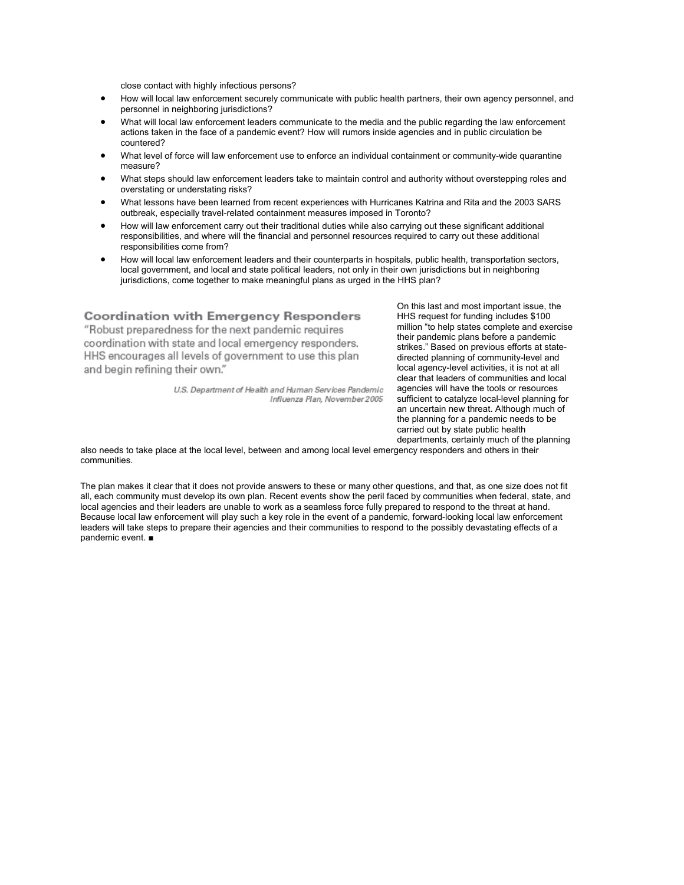close contact with highly infectious persons?

- How will local law enforcement securely communicate with public health partners, their own agency personnel, and personnel in neighboring jurisdictions?
- What will local law enforcement leaders communicate to the media and the public regarding the law enforcement actions taken in the face of a pandemic event? How will rumors inside agencies and in public circulation be countered?
- What level of force will law enforcement use to enforce an individual containment or community-wide quarantine measure?
- What steps should law enforcement leaders take to maintain control and authority without overstepping roles and overstating or understating risks?
- What lessons have been learned from recent experiences with Hurricanes Katrina and Rita and the 2003 SARS outbreak, especially travel-related containment measures imposed in Toronto?
- How will law enforcement carry out their traditional duties while also carrying out these significant additional responsibilities, and where will the financial and personnel resources required to carry out these additional responsibilities come from?
- How will local law enforcement leaders and their counterparts in hospitals, public health, transportation sectors, local government, and local and state political leaders, not only in their own jurisdictions but in neighboring jurisdictions, come together to make meaningful plans as urged in the HHS plan?

# **Coordination with Emergency Responders**

"Robust preparedness for the next pandemic requires coordination with state and local emergency responders. HHS encourages all levels of government to use this plan and begin refining their own."

> U.S. Department of Health and Human Services Pandemic Influenza Plan, November 2005

On this last and most important issue, the HHS request for funding includes \$100 million "to help states complete and exercise their pandemic plans before a pandemic strikes." Based on previous efforts at statedirected planning of community-level and local agency-level activities, it is not at all clear that leaders of communities and local agencies will have the tools or resources sufficient to catalyze local-level planning for an uncertain new threat. Although much of the planning for a pandemic needs to be carried out by state public health departments, certainly much of the planning

also needs to take place at the local level, between and among local level emergency responders and others in their communities.

The plan makes it clear that it does not provide answers to these or many other questions, and that, as one size does not fit all, each community must develop its own plan. Recent events show the peril faced by communities when federal, state, and local agencies and their leaders are unable to work as a seamless force fully prepared to respond to the threat at hand. Because local law enforcement will play such a key role in the event of a pandemic, forward-looking local law enforcement leaders will take steps to prepare their agencies and their communities to respond to the possibly devastating effects of a pandemic event. ■